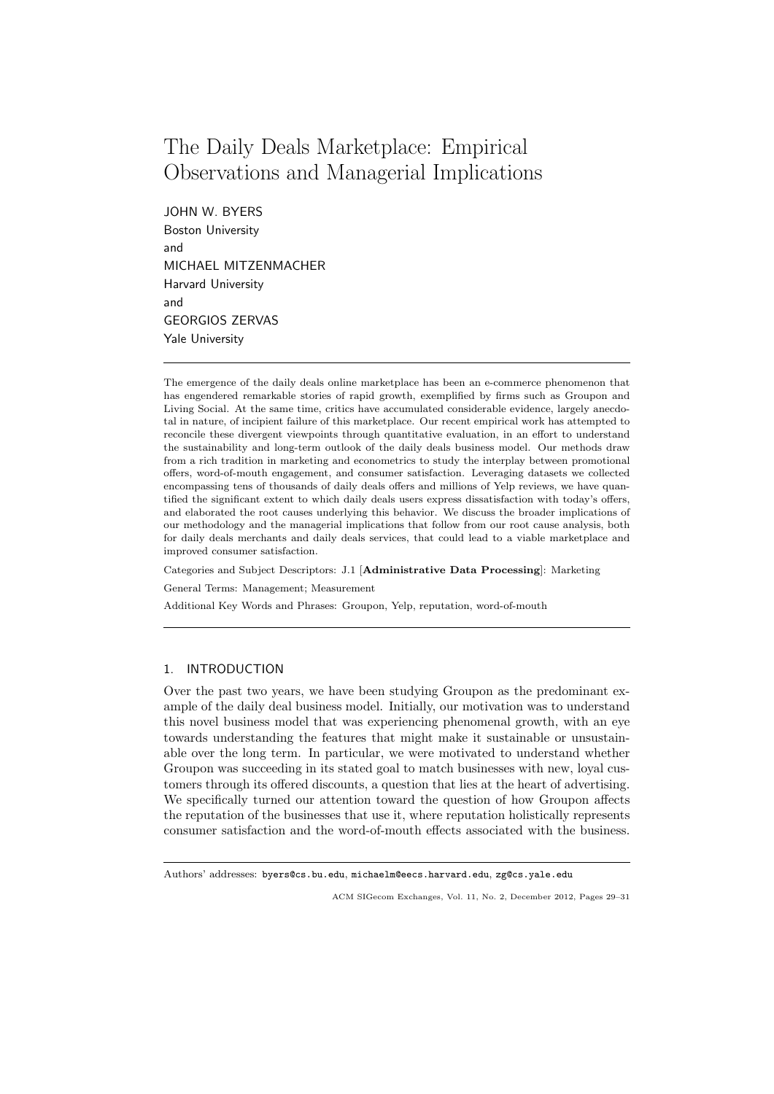# The Daily Deals Marketplace: Empirical Observations and Managerial Implications

JOHN W. BYERS Boston University and MICHAEL MITZENMACHER Harvard University and GEORGIOS ZERVAS Yale University

The emergence of the daily deals online marketplace has been an e-commerce phenomenon that has engendered remarkable stories of rapid growth, exemplified by firms such as Groupon and Living Social. At the same time, critics have accumulated considerable evidence, largely anecdotal in nature, of incipient failure of this marketplace. Our recent empirical work has attempted to reconcile these divergent viewpoints through quantitative evaluation, in an effort to understand the sustainability and long-term outlook of the daily deals business model. Our methods draw from a rich tradition in marketing and econometrics to study the interplay between promotional offers, word-of-mouth engagement, and consumer satisfaction. Leveraging datasets we collected encompassing tens of thousands of daily deals offers and millions of Yelp reviews, we have quantified the significant extent to which daily deals users express dissatisfaction with today's offers, and elaborated the root causes underlying this behavior. We discuss the broader implications of our methodology and the managerial implications that follow from our root cause analysis, both for daily deals merchants and daily deals services, that could lead to a viable marketplace and improved consumer satisfaction.

Categories and Subject Descriptors: J.1 [Administrative Data Processing]: Marketing

General Terms: Management; Measurement

Additional Key Words and Phrases: Groupon, Yelp, reputation, word-of-mouth

## 1. INTRODUCTION

Over the past two years, we have been studying Groupon as the predominant example of the daily deal business model. Initially, our motivation was to understand this novel business model that was experiencing phenomenal growth, with an eye towards understanding the features that might make it sustainable or unsustainable over the long term. In particular, we were motivated to understand whether Groupon was succeeding in its stated goal to match businesses with new, loyal customers through its offered discounts, a question that lies at the heart of advertising. We specifically turned our attention toward the question of how Groupon affects the reputation of the businesses that use it, where reputation holistically represents consumer satisfaction and the word-of-mouth effects associated with the business.

Authors' addresses: byers@cs.bu.edu, michaelm@eecs.harvard.edu, zg@cs.yale.edu

ACM SIGecom Exchanges, Vol. 11, No. 2, December 2012, Pages 29–31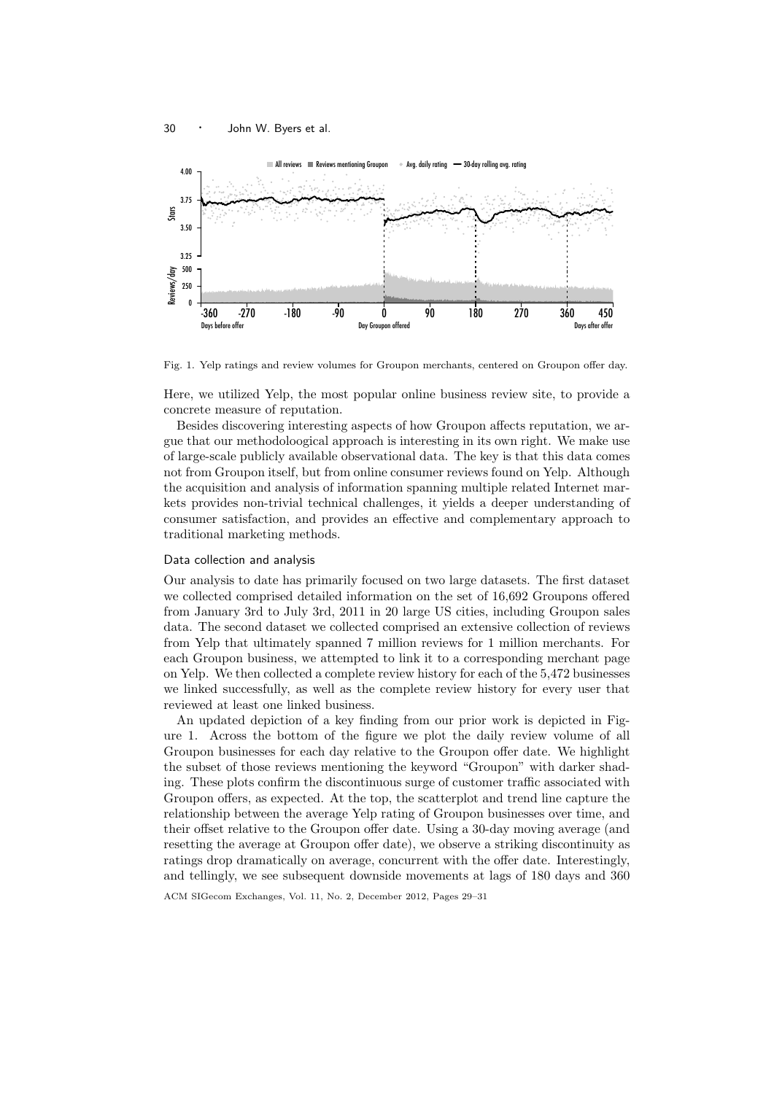

Fig. 1. Yelp ratings and review volumes for Groupon merchants, centered on Groupon offer day.

Here, we utilized Yelp, the most popular online business review site, to provide a concrete measure of reputation.

Besides discovering interesting aspects of how Groupon affects reputation, we argue that our methodoloogical approach is interesting in its own right. We make use of large-scale publicly available observational data. The key is that this data comes not from Groupon itself, but from online consumer reviews found on Yelp. Although the acquisition and analysis of information spanning multiple related Internet markets provides non-trivial technical challenges, it yields a deeper understanding of consumer satisfaction, and provides an effective and complementary approach to traditional marketing methods.

## Data collection and analysis

Our analysis to date has primarily focused on two large datasets. The first dataset we collected comprised detailed information on the set of 16,692 Groupons offered from January 3rd to July 3rd, 2011 in 20 large US cities, including Groupon sales data. The second dataset we collected comprised an extensive collection of reviews from Yelp that ultimately spanned 7 million reviews for 1 million merchants. For each Groupon business, we attempted to link it to a corresponding merchant page on Yelp. We then collected a complete review history for each of the 5,472 businesses we linked successfully, as well as the complete review history for every user that reviewed at least one linked business.

An updated depiction of a key finding from our prior work is depicted in Figure 1. Across the bottom of the figure we plot the daily review volume of all Groupon businesses for each day relative to the Groupon offer date. We highlight the subset of those reviews mentioning the keyword "Groupon" with darker shading. These plots confirm the discontinuous surge of customer traffic associated with Groupon offers, as expected. At the top, the scatterplot and trend line capture the relationship between the average Yelp rating of Groupon businesses over time, and their offset relative to the Groupon offer date. Using a 30-day moving average (and resetting the average at Groupon offer date), we observe a striking discontinuity as ratings drop dramatically on average, concurrent with the offer date. Interestingly, and tellingly, we see subsequent downside movements at lags of 180 days and 360

ACM SIGecom Exchanges, Vol. 11, No. 2, December 2012, Pages 29–31